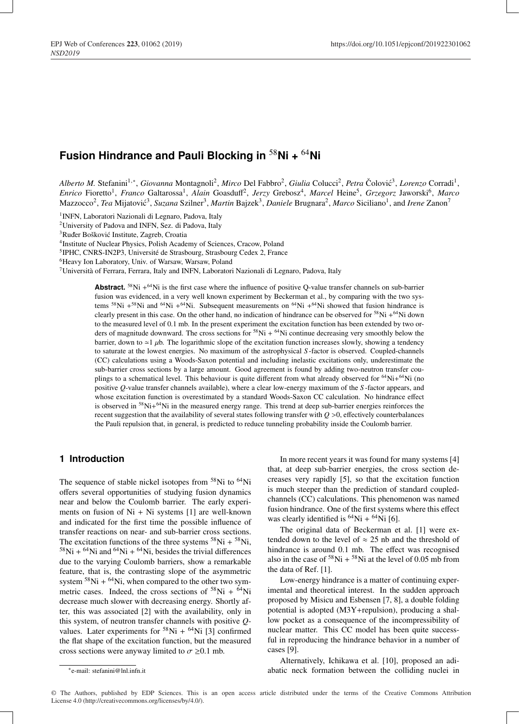# **Fusion Hindrance and Pauli Blocking in** <sup>58</sup>**Ni +** <sup>64</sup>**Ni**

*Alberto M.* Stefanini<sup>1,∗</sup>, *Giovanna* Montagnoli<sup>2</sup>, *Mirco* Del Fabbro<sup>2</sup>, *Giulia* Colucci<sup>2</sup>, *Petra* Čolović<sup>3</sup>, *Lorenzo* Corradi<sup>1</sup>, *Enrico* Fioretto1, *Franco* Galtarossa1, *Alain* Goasduff2, *Jerzy* Grebosz4, *Marcel* Heine5, *Grzegorz* Jaworski6, *Marco* Mazzocco<sup>2</sup>, *Tea* Mijatović<sup>3</sup>, *Suzana* Szilner<sup>3</sup>, *Martin* Bajzek<sup>3</sup>, *Daniele* Brugnara<sup>2</sup>, *Marco* Siciliano<sup>1</sup>, and *Irene* Zanon<sup>7</sup>

1INFN, Laboratori Nazionali di Legnaro, Padova, Italy

2University of Padova and INFN, Sez. di Padova, Italy

3Ruder Boškovic Institute, Zagreb, Croatia ´

4Institute of Nuclear Physics, Polish Academy of Sciences, Cracow, Poland

5IPHC, CNRS-IN2P3, Université de Strasbourg, Strasbourg Cedex 2, France

6Heavy Ion Laboratory, Univ. of Warsaw, Warsaw, Poland

7Università of Ferrara, Ferrara, Italy and INFN, Laboratori Nazionali di Legnaro, Padova, Italy

**Abstract.**  ${}^{58}$ Ni  $+{}^{64}$ Ni is the first case where the influence of positive Q-value transfer channels on sub-barrier fusion was evidenced, in a very well known experiment by Beckerman et al., by comparing with the two systems  $58\text{Ni} +58\text{Ni}$  and  $64\text{Ni} +64\text{Ni}$ . Subsequent measurements on  $64\text{Ni} +64\text{Ni}$  showed that fusion hindrance is clearly present in this case. On the other hand, no indication of hindrance can be observed for <sup>58</sup>Ni +<sup>64</sup>Ni down to the measured level of 0.1 mb. In the present experiment the excitation function has been extended by two orders of magnitude downward. The cross sections for  ${}^{58}Ni + {}^{64}Ni$  continue decreasing very smoothly below the barrier, down to  $\approx$  1 µb. The logarithmic slope of the excitation function increases slowly, showing a tendency to saturate at the lowest energies. No maximum of the astrophysical *S* -factor is observed. Coupled-channels (CC) calculations using a Woods-Saxon potential and including inelastic excitations only, underestimate the sub-barrier cross sections by a large amount. Good agreement is found by adding two-neutron transfer couplings to a schematical level. This behaviour is quite different from what already observed for  $64Ni+64Ni$  (no positive *Q*-value transfer channels available), where a clear low-energy maximum of the *S* -factor appears, and whose excitation function is overestimated by a standard Woods-Saxon CC calculation. No hindrance effect is observed in  ${}^{58}$ Ni+ ${}^{64}$ Ni in the measured energy range. This trend at deep sub-barrier energies reinforces the recent suggestion that the availability of several states following transfer with *Q* >0, effectively counterbalances the Pauli repulsion that, in general, is predicted to reduce tunneling probability inside the Coulomb barrier.

## **1 Introduction**

The sequence of stable nickel isotopes from <sup>58</sup>Ni to <sup>64</sup>Ni offers several opportunities of studying fusion dynamics near and below the Coulomb barrier. The early experiments on fusion of  $Ni + Ni$  systems [1] are well-known and indicated for the first time the possible influence of transfer reactions on near- and sub-barrier cross sections. The excitation functions of the three systems  $58Ni + 58Ni$ ,  $58$ Ni +  $64$ Ni and  $64$ Ni +  $64$ Ni, besides the trivial differences due to the varying Coulomb barriers, show a remarkable feature, that is, the contrasting slope of the asymmetric system  $58\text{Ni} + 64\text{Ni}$ , when compared to the other two symmetric cases. Indeed, the cross sections of  $58\text{Ni} + 64\text{Ni}$ decrease much slower with decreasing energy. Shortly after, this was associated [2] with the availability, only in this system, of neutron transfer channels with positive *Q*values. Later experiments for  $58$ Ni +  $64$ Ni [3] confirmed the flat shape of the excitation function, but the measured cross sections were anyway limited to  $\sigma \geq 0.1$  mb.

In more recent years it was found for many systems [4] that, at deep sub-barrier energies, the cross section decreases very rapidly [5], so that the excitation function is much steeper than the prediction of standard coupledchannels (CC) calculations. This phenomenon was named fusion hindrance. One of the first systems where this effect was clearly identified is  ${}^{64}Ni + {}^{64}Ni$  [6].

The original data of Beckerman et al. [1] were extended down to the level of  $\approx$  25 nb and the threshold of hindrance is around 0.1 mb. The effect was recognised also in the case of  $58$ Ni +  $58$ Ni at the level of 0.05 mb from the data of Ref. [1].

Low-energy hindrance is a matter of continuing experimental and theoretical interest. In the sudden approach proposed by Misicu and Esbensen [7, 8], a double folding potential is adopted (M3Y+repulsion), producing a shallow pocket as a consequence of the incompressibility of nuclear matter. This CC model has been quite successful in reproducing the hindrance behavior in a number of cases [9].

∗e-mail: stefanini@lnl.infn.it

Alternatively, Ichikawa et al. [10], proposed an adiabatic neck formation between the colliding nuclei in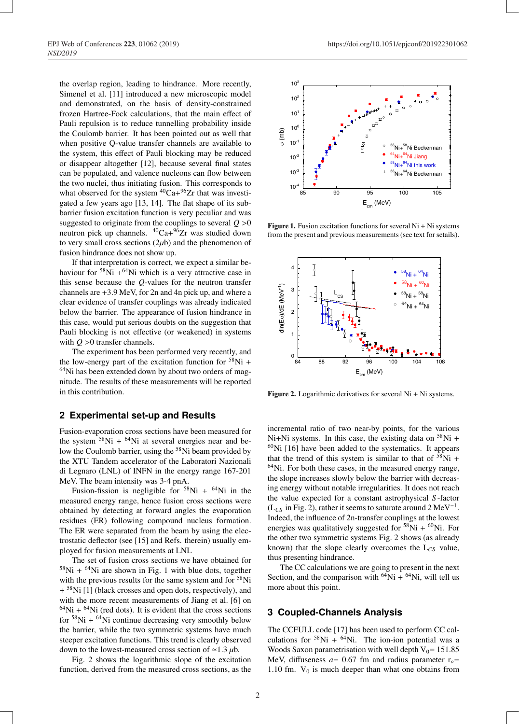the overlap region, leading to hindrance. More recently, Simenel et al. [11] introduced a new microscopic model and demonstrated, on the basis of density-constrained frozen Hartree-Fock calculations, that the main effect of Pauli repulsion is to reduce tunnelling probability inside the Coulomb barrier. It has been pointed out as well that when positive Q-value transfer channels are available to the system, this effect of Pauli blocking may be reduced or disappear altogether [12], because several final states can be populated, and valence nucleons can flow between the two nuclei, thus initiating fusion. This corresponds to what observed for the system  ${}^{40}Ca+{}^{96}Zr$  that was investigated a few years ago [13, 14]. The flat shape of its subbarrier fusion excitation function is very peculiar and was suggested to originate from the couplings to several  $Q > 0$ neutron pick up channels.  $^{40}Ca + ^{96}Zr$  was studied down to very small cross sections  $(2\mu b)$  and the phenomenon of fusion hindrance does not show up.

If that interpretation is correct, we expect a similar behaviour for  $58\text{Ni} +64\text{Ni}$  which is a very attractive case in this sense because the *Q*-values for the neutron transfer channels are +3.9 MeV, for 2n and 4n pick up, and where a clear evidence of transfer couplings was already indicated below the barrier. The appearance of fusion hindrance in this case, would put serious doubts on the suggestion that Pauli blocking is not effective (or weakened) in systems with  $Q > 0$  transfer channels.

The experiment has been performed very recently, and the low-energy part of the excitation function for  $58Ni +$ 64Ni has been extended down by about two orders of magnitude. The results of these measurements will be reported in this contribution.

### **2 Experimental set-up and Results**

Fusion-evaporation cross sections have been measured for the system  $58$ Ni +  $64$ Ni at several energies near and below the Coulomb barrier, using the 58Ni beam provided by the XTU Tandem accelerator of the Laboratori Nazionali di Legnaro (LNL) of INFN in the energy range 167-201 MeV. The beam intensity was 3-4 pnA.

Fusion-fission is negligible for  $58Ni + 64Ni$  in the measured energy range, hence fusion cross sections were obtained by detecting at forward angles the evaporation residues (ER) following compound nucleus formation. The ER were separated from the beam by using the electrostatic deflector (see [15] and Refs. therein) usually employed for fusion measurements at LNL

The set of fusion cross sections we have obtained for  $58$ Ni +  $64$ Ni are shown in Fig. 1 with blue dots, together with the previous results for the same system and for <sup>58</sup>Ni  $+$ <sup>58</sup>Ni [1] (black crosses and open dots, respectively), and with the more recent measurements of Jiang et al. [6] on  $64$ Ni +  $64$ Ni (red dots). It is evident that the cross sections for  $58$ Ni +  $64$ Ni continue decreasing very smoothly below the barrier, while the two symmetric systems have much steeper excitation functions. This trend is clearly observed down to the lowest-measured cross section of  $\approx$  1.3  $\mu$ b.

Fig. 2 shows the logarithmic slope of the excitation function, derived from the measured cross sections, as the



**Figure 1.** Fusion excitation functions for several  $Ni + Ni$  systems from the present and previous measurements (see text for setails).



**Figure 2.** Logarithmic derivatives for several  $Ni + Ni$  systems.

incremental ratio of two near-by points, for the various Ni+Ni systems. In this case, the existing data on  $58$ Ni +  $60$ Ni [16] have been added to the systematics. It appears that the trend of this system is similar to that of  $58\text{Ni} +$  $64$ Ni. For both these cases, in the measured energy range, the slope increases slowly below the barrier with decreasing energy without notable irregularities. It does not reach the value expected for a constant astrophysical *S* -factor  $(L_{CS}$  in Fig. 2), rather it seems to saturate around 2 MeV<sup>-1</sup>. Indeed, the influence of 2n-transfer couplings at the lowest energies was qualitatively suggested for  $58Ni + 60Ni$ . For the other two symmetric systems Fig. 2 shows (as already known) that the slope clearly overcomes the L*CS* value, thus presenting hindrance.

The CC calculations we are going to present in the next Section, and the comparison with  ${}^{64}Ni + {}^{64}Ni$ , will tell us more about this point.

### **3 Coupled-Channels Analysis**

The CCFULL code [17] has been used to perform CC calculations for  $58Ni + 64Ni$ . The ion-ion potential was a Woods Saxon parametrisation with well depth  $V_0$  = 151.85 MeV, diffuseness  $a = 0.67$  fm and radius parameter  $r<sub>o</sub>$ = 1.10 fm.  $V_0$  is much deeper than what one obtains from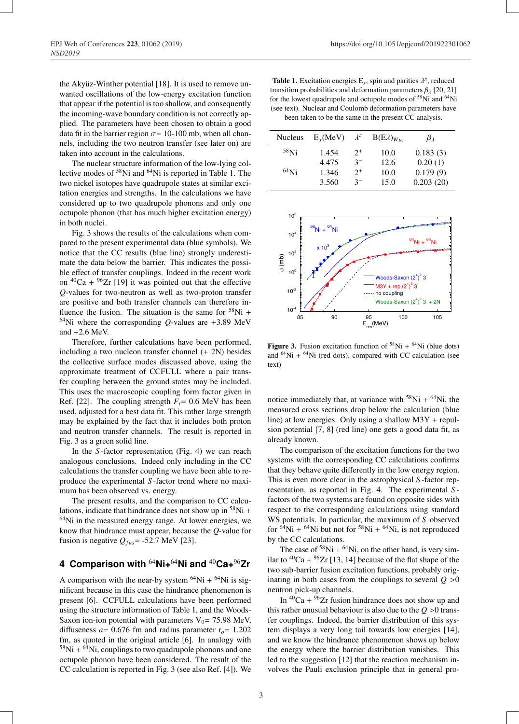the Akyüz-Winther potential [18]. It is used to remove unwanted oscillations of the low-energy excitation function that appear if the potential is too shallow, and consequently the incoming-wave boundary condition is not correctly applied. The parameters have been chosen to obtain a good data fit in the barrier region  $\sigma$  = 10-100 mb, when all channels, including the two neutron transfer (see later on) are taken into account in the calculations.

The nuclear structure information of the low-lying collective modes of 58Ni and 64Ni is reported in Table 1. The two nickel isotopes have quadrupole states at similar excitation energies and strengths. In the calculations we have considered up to two quadrupole phonons and only one octupole phonon (that has much higher excitation energy) in both nuclei.

Fig. 3 shows the results of the calculations when compared to the present experimental data (blue symbols). We notice that the CC results (blue line) strongly underestimate the data below the barrier. This indicates the possible effect of transfer couplings. Indeed in the recent work on  ${}^{40}Ca + {}^{96}Zr$  [19] it was pointed out that the effective *Q*-values for two-neutron as well as two-proton transfer are positive and both transfer channels can therefore influence the fusion. The situation is the same for  $58$ Ni + <sup>64</sup>Ni where the corresponding *O*-values are  $+3.89$  MeV and  $+2.6$  MeV.

Therefore, further calculations have been performed, including a two nucleon transfer channel (+ 2N) besides the collective surface modes discussed above, using the approximate treatment of CCFULL where a pair transfer coupling between the ground states may be included. This uses the macroscopic coupling form factor given in Ref. [22]. The coupling strength  $F_t$  = 0.6 MeV has been used, adjusted for a best data fit. This rather large strength may be explained by the fact that it includes both proton and neutron transfer channels. The result is reported in Fig. 3 as a green solid line.

In the *S* -factor representation (Fig. 4) we can reach analogous conclusions. Indeed only including in the CC calculations the transfer coupling we have been able to reproduce the experimental *S* -factor trend where no maximum has been observed vs. energy.

The present results, and the comparison to CC calculations, indicate that hindrance does not show up in  $58$ Ni +  $64$ Ni in the measured energy range. At lower energies, we know that hindrance must appear, because the *Q*-value for fusion is negative  $Q_{fus}$  = -52.7 MeV [23].

# **4 Comparison with** <sup>64</sup>**Ni+**64**Ni and** <sup>40</sup>**Ca+**96**Zr**

A comparison with the near-by system  $^{64}$ Ni +  $^{64}$ Ni is significant because in this case the hindrance phenomenon is present [6]. CCFULL calculations have been performed using the structure information of Table 1, and the Woods-Saxon ion-ion potential with parameters  $V_0$  = 75.98 MeV, diffuseness  $a = 0.676$  fm and radius parameter  $r<sub>o</sub> = 1.202$ fm, as quoted in the original article [6]. In analogy with  $58$ Ni +  $64$ Ni, couplings to two quadrupole phonons and one octupole phonon have been considered. The result of the CC calculation is reported in Fig. 3 (see also Ref. [4]). We

**Table 1.** Excitation energies  $E_x$ , spin and parities  $\lambda^{\pi}$ , reduced transition probabilities and deformation parameters  $\beta_{\lambda}$  [20, 21] for the lowest quadrupole and octupole modes of 58Ni and 64Ni (see text). Nuclear and Coulomb deformation parameters have been taken to be the same in the present CC analysis.

| <b>Nucleus</b> | $E_r$ (MeV) | $\lambda^{\pi}$ | $B(E\lambda)_{W,u}$ | $\beta_{\lambda}$ |
|----------------|-------------|-----------------|---------------------|-------------------|
| $58$ Ni        | 1.454       | $2^+$           | 10.0                | 0.183(3)          |
|                | 4.475       | $3^-$           | 12.6                | 0.20(1)           |
| $^{64}$ Ni     | 1.346       | $2^{+}$         | 10.0                | 0.179(9)          |
|                | 3.560       | $3-$            | 15.0                | 0.203(20)         |



Figure 3. Fusion excitation function of  $58Ni + 64Ni$  (blue dots) and  $^{64}$ Ni +  $^{64}$ Ni (red dots), compared with CC calculation (see text)

notice immediately that, at variance with  $58Ni + 64Ni$ , the measured cross sections drop below the calculation (blue line) at low energies. Only using a shallow M3Y + repulsion potential [7, 8] (red line) one gets a good data fit, as already known.

The comparison of the excitation functions for the two systems with the corresponding CC calculations confirms that they behave quite differently in the low energy region. This is even more clear in the astrophysical *S* -factor representation, as reported in Fig. 4. The experimental *S* factors of the two systems are found on opposite sides with respect to the corresponding calculations using standard WS potentials. In particular, the maximum of *S* observed for  $64\text{Ni} + 64\text{Ni}$  but not for  $58\text{Ni} + 64\text{Ni}$ , is not reproduced by the CC calculations.

The case of  $58Ni + 64Ni$ , on the other hand, is very similar to  ${}^{40}Ca + {}^{96}Zr$  [13, 14] because of the flat shape of the two sub-barrier fusion excitation functions, probably originating in both cases from the couplings to several  $Q > 0$ neutron pick-up channels.

In  ${}^{40}Ca + {}^{96}Zr$  fusion hindrance does not show up and this rather unusual behaviour is also due to the  $Q > 0$  transfer couplings. Indeed, the barrier distribution of this system displays a very long tail towards low energies [14], and we know the hindrance phenomenon shows up below the energy where the barrier distribution vanishes. This led to the suggestion [12] that the reaction mechanism involves the Pauli exclusion principle that in general pro-